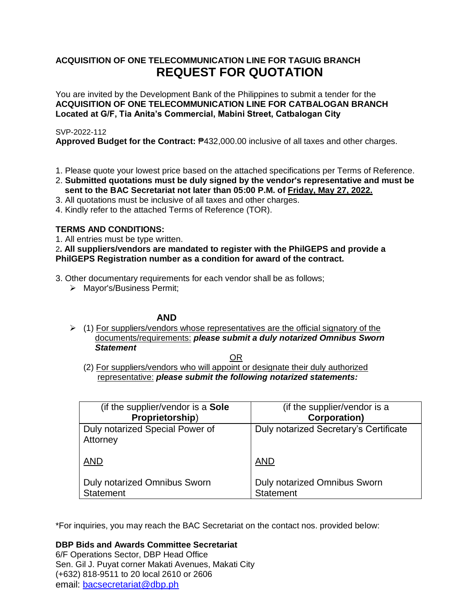# **ACQUISITION OF ONE TELECOMMUNICATION LINE FOR TAGUIG BRANCH REQUEST FOR QUOTATION**

You are invited by the Development Bank of the Philippines to submit a tender for the **ACQUISITION OF ONE TELECOMMUNICATION LINE FOR CATBALOGAN BRANCH Located at G/F, Tia Anita's Commercial, Mabini Street, Catbalogan City**

# SVP-2022-112

**Approved Budget for the Contract:** ₱432,000.00 inclusive of all taxes and other charges.

- 1. Please quote your lowest price based on the attached specifications per Terms of Reference.
- 2. **Submitted quotations must be duly signed by the vendor's representative and must be sent to the BAC Secretariat not later than 05:00 P.M. of Friday, May 27, 2022.**
- 3. All quotations must be inclusive of all taxes and other charges.
- 4. Kindly refer to the attached Terms of Reference (TOR).

# **TERMS AND CONDITIONS:**

1. All entries must be type written.

2**. All suppliers/vendors are mandated to register with the PhilGEPS and provide a PhilGEPS Registration number as a condition for award of the contract.**

3. Other documentary requirements for each vendor shall be as follows;

> Mayor's/Business Permit;

# **AND**

 $\geq$  (1) For suppliers/vendors whose representatives are the official signatory of the documents/requirements: *please submit a duly notarized Omnibus Sworn Statement*

<u>OR Starting and the Starting OR Starting</u>

(2) For suppliers/vendors who will appoint or designate their duly authorized representative: *please submit the following notarized statements:*

| (if the supplier/vendor is a <b>Sole</b> )  | (if the supplier/vendor is a           |
|---------------------------------------------|----------------------------------------|
| Proprietorship)                             | <b>Corporation)</b>                    |
| Duly notarized Special Power of<br>Attorney | Duly notarized Secretary's Certificate |
| <b>AND</b>                                  | <b>AND</b>                             |
| Duly notarized Omnibus Sworn                | <b>Duly notarized Omnibus Sworn</b>    |
| <b>Statement</b>                            | <b>Statement</b>                       |

\*For inquiries, you may reach the BAC Secretariat on the contact nos. provided below:

**DBP Bids and Awards Committee Secretariat**  6/F Operations Sector, DBP Head Office Sen. Gil J. Puyat corner Makati Avenues, Makati City (+632) 818-9511 to 20 local 2610 or 2606

email: [bacsecretariat@dbp.ph](mailto:bacsecretariat@dbp.ph)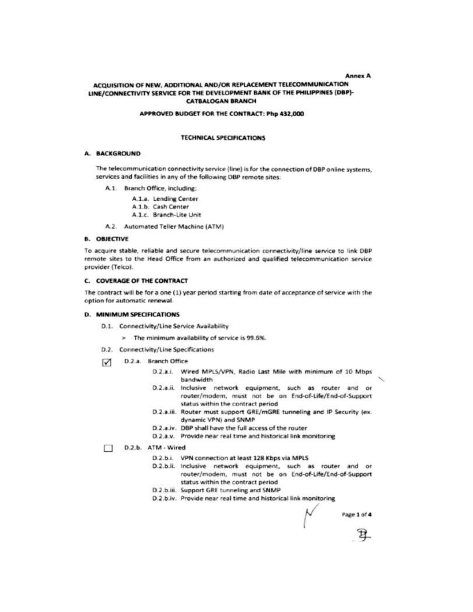#### **Annex A**

## ACQUISITION OF NEW, ADDITIONAL AND/OR REPLACEMENT TELECOMMUNICATION LINE/CONNECTIVITY SERVICE FOR THE DEVELOPMENT BANK OF THE PHILIPPINES (DBP)-**CATBALOGAN BRANCH**

#### APPROVED BUDGET FOR THE CONTRACT: Php 432,000

#### **TECHNICAL SPECIFICATIONS**

#### A. BACKGROUND

The telecommunication connectivity service (line) is for the connection of DBP online systems, services and facilities in any of the following DBP remote sites:

A.1. Branch Office, including:

A.1.a. Lending Center A.1.b. Cash Center A.1.c. Branch-Lite Unit

A.2. Automated Teller Machine (ATM)

#### **B. OBJECTIVE**

To acquire stable, reliable and secure telecommunication connectivity/line service to link DBP remote sites to the Head Office from an authorized and qualified telecommunication service provider (Telco).

### **C. COVERAGE OF THE CONTRACT**

The contract will be for a one (1) year period starting from date of acceptance of service with the option for automatic renewal.

#### **D. MINIMUM SPECIFICATIONS**

- D.1. Connectivity/Line Service Availability
	- > The minimum availability of service is 99.6%.
- D.2. Connectivity/Line Specifications
- D.2.a. Branch Office ☑
	- D.2.a.i. Wired MPLS/VPN, Radio Last Mile with minimum of 10 Mbps bandwidth
	- D.2.a.ii. Inclusive network equipment, such as router and or router/modem, must not be on End-of-Life/End-of-Support status within the contract period
	- D.2.a.iii. Router must support GRE/mGRE tunneling and IP Security (ex. dynamic VPN) and SNMP
	- D.2.a.iv. DBP shall have the full access of the router
	- D.2.a.v. Provide near real time and historical link monitoring
- D.2.b. ATM Wired п
	- D.2.b.i. VPN connection at least 128 Kbps via MPLS
	- D.2.b.ii. Inclusive network equipment, such as router and or router/modem, must not be on End-of-Life/End-of-Support status within the contract period
	- D.2.b.iii. Support GRE tunneling and SNMP
	- D.2.b.iv. Provide near real time and historical link monitoring

Page 1 of 4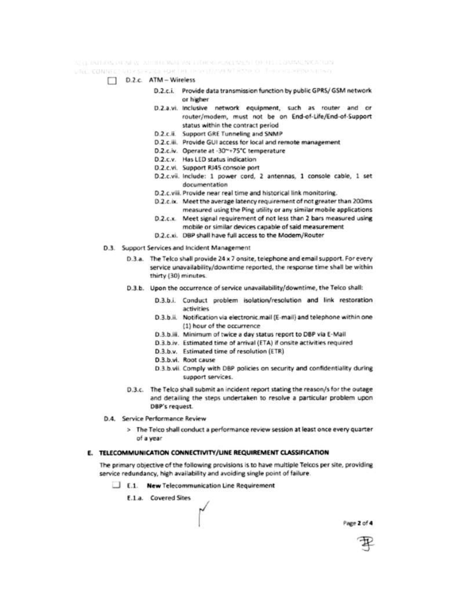AS QUARTERING OF ALL ALL DIVIDENDENCE AND THE RESULT OF HIS LIGHTER REPORTED A

VAL CONNECTION SERVICE RACIN DESCRIPTION AND O THROUGHOUS MESOL

- D.2.c. ATM Wireless
	- D.2.c.i. Provide data transmission function by public GPRS/ GSM network or higher
	- D.2.a.vi. Inclusive network equipment, such as router and or router/modem, must not be on End-of-Life/End-of-Support status within the contract period
	- D.2.c.ii. Support GRE Tunneling and SNMP
	- D.2.c.iii. Provide GUI access for local and remote management
	- D.2.c.iv. Operate at -30~+75°C temperature
	- D.2.c.v. Has LED status indication
	- D.2.c.vi. Support RJ45 console port
	- D.2.c.vii. Include: 1 power cord, 2 antennas, 1 console cable, 1 set documentation
	- D.2.c.viii. Provide near real time and historical link monitoring.
	- D.2.c.ix. Meet the average latency requirement of not greater than 200ms measured using the Ping utility or any similar mobile applications
	- D.2.c.x. Meet signal requirement of not less than 2 bars measured using mobile or similar devices capable of said measurement
	- D.2.c.xi. DBP shall have full access to the Modem/Router
- D.3. Support Services and Incident Management
	- D.3.a. The Telco shall provide 24 x 7 onsite, telephone and email support. For every service unavailability/downtime reported, the response time shall be within thirty (30) minutes.
	- D.3.b. Upon the occurrence of service unavailability/downtime, the Telco shall:
		- D.3.b.i. Conduct problem isolation/resolution and link restoration activities
		- D.3.b.ii. Notification via electronic mail (E-mail) and telephone within one (1) hour of the occurrence
		- D.3.b.iii. Minimum of twice a day status report to DBP via E-Mail
		- D.3.b.iv. Estimated time of arrival (ETA) if onsite activities required
		- D.3.b.v. Estimated time of resolution (ETR)
		- D.3.b.vi. Root cause
		- D.3.b.vii. Comply with DBP policies on security and confidentiality during support services.
	- D.3.c. The Telco shall submit an incident report stating the reason/s for the outage and detailing the steps undertaken to resolve a particular problem upon DBP's request.
- D.4. Service Performance Review
	- > The Telco shall conduct a performance review session at least once every quarter of a year

### E. TELECOMMUNICATION CONNECTIVITY/LINE REQUIREMENT CLASSIFICATION

The primary objective of the following provisions is to have multiple Telcos per site, providing service redundancy, high availability and avoiding single point of failure.

- E.1. New Telecommunication Line Requirement
	- E.1.a. Covered Sites

Page 2 of 4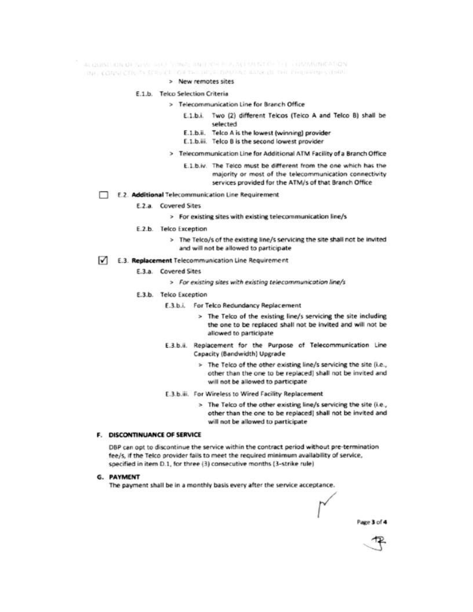ALCOHOL: ON OF SEARCH STOP STORES AND REAL ACTIVITIES OF THE COMMUNICATION the CONSTOR IN STRUCT CHINA DRUG DAVIDE BUG IN THE PHONOGRAPHO

- > New remotes sites
- E.1.b. Telco Selection Criteria
	- > Telecommunication Line for Branch Office
		- E.1.b.i. Two (2) different Telcos (Teico A and Telco B) shall be selected
		- E.1.b.ii. Telco A is the lowest (winning) provider
		- E.1.b.iii. Telco B is the second lowest provider
	- > Telecommunication Line for Additional ATM Facility of a Branch Office
		- E.1.b.iv. The Telco must be different from the one which has the majority or most of the telecommunication connectivity services provided for the ATM/s of that Branch Office
- E.2. Additional Telecommunication Line Requirement
	- E.2.a. Covered Sites
		- > For existing sites with existing telecommunication line/s
	- E.2.b. Telco Exception
		- > The Telco/s of the existing line/s servicing the site shall not be invited and will not be allowed to participate
- $\sqrt{\phantom{a}}$  E.3. Replacement Telecommunication Line Requirement
	- E.3.a. Covered Sites
		- > For existing sites with existing telecommunication line/s
	- E.3.b. Telco Exception
		- E.3.b.i. For Telco Redundancy Replacement
			- > The Telco of the existing line/s servicing the site including the one to be replaced shall not be invited and will not be allowed to participate
		- E.3.b.ii. Replacement for the Purpose of Telecommunication Line Capacity (Bandwidth) Upgrade
			- > The Telco of the other existing line/s servicing the site (i.e., other than the one to be replaced) shall not be invited and will not be allowed to participate
		- E.3.b.iii. For Wireless to Wired Facility Replacement
			- > The Telco of the other existing line/s servicing the site (i.e., other than the one to be replaced] shall not be invited and will not be allowed to participate
- F. DISCONTINUANCE OF SERVICE

DBP can opt to discontinue the service within the contract period without pre-termination fee/s, if the Telco provider fails to meet the required minimum availability of service, specified in item D.1, for three (3) consecutive months (3-strike rule)

**G. PAYMENT** 

The payment shall be in a monthly basis every after the service acceptance.

Page 3 of 4